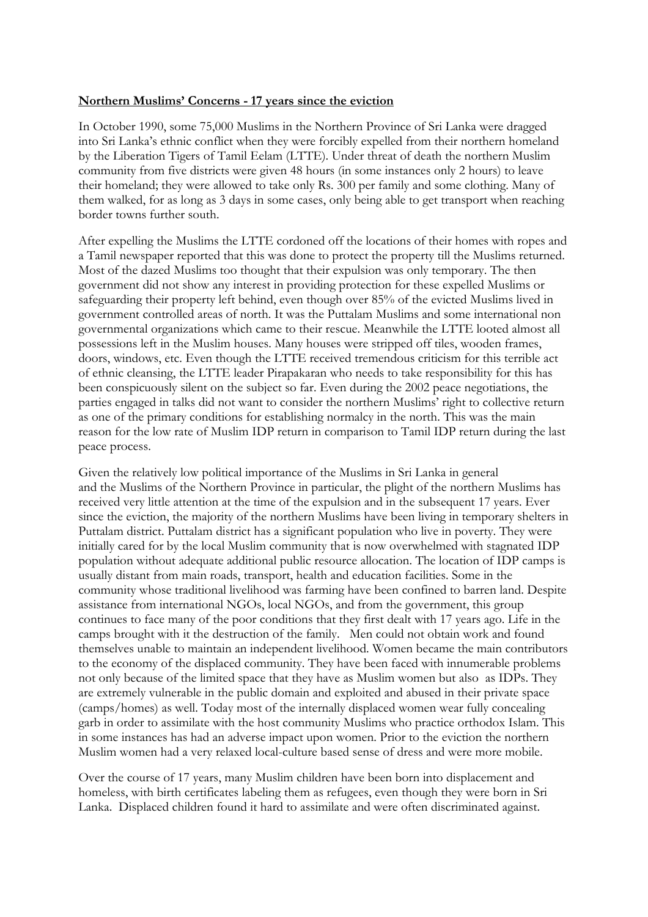## **Northern Muslims' Concerns - 17 years since the eviction**

In October 1990, some 75,000 Muslims in the Northern Province of Sri Lanka were dragged into Sri Lanka's ethnic conflict when they were forcibly expelled from their northern homeland by the Liberation Tigers of Tamil Eelam (LTTE). Under threat of death the northern Muslim community from five districts were given 48 hours (in some instances only 2 hours) to leave their homeland; they were allowed to take only Rs. 300 per family and some clothing. Many of them walked, for as long as 3 days in some cases, only being able to get transport when reaching border towns further south.

After expelling the Muslims the LTTE cordoned off the locations of their homes with ropes and a Tamil newspaper reported that this was done to protect the property till the Muslims returned. Most of the dazed Muslims too thought that their expulsion was only temporary. The then government did not show any interest in providing protection for these expelled Muslims or safeguarding their property left behind, even though over 85% of the evicted Muslims lived in government controlled areas of north. It was the Puttalam Muslims and some international non governmental organizations which came to their rescue. Meanwhile the LTTE looted almost all possessions left in the Muslim houses. Many houses were stripped off tiles, wooden frames, doors, windows, etc. Even though the LTTE received tremendous criticism for this terrible act of ethnic cleansing, the LTTE leader Pirapakaran who needs to take responsibility for this has been conspicuously silent on the subject so far. Even during the 2002 peace negotiations, the parties engaged in talks did not want to consider the northern Muslims' right to collective return as one of the primary conditions for establishing normalcy in the north. This was the main reason for the low rate of Muslim IDP return in comparison to Tamil IDP return during the last peace process.

Given the relatively low political importance of the Muslims in Sri Lanka in general and the Muslims of the Northern Province in particular, the plight of the northern Muslims has received very little attention at the time of the expulsion and in the subsequent 17 years. Ever since the eviction, the majority of the northern Muslims have been living in temporary shelters in Puttalam district. Puttalam district has a significant population who live in poverty. They were initially cared for by the local Muslim community that is now overwhelmed with stagnated IDP population without adequate additional public resource allocation. The location of IDP camps is usually distant from main roads, transport, health and education facilities. Some in the community whose traditional livelihood was farming have been confined to barren land. Despite assistance from international NGOs, local NGOs, and from the government, this group continues to face many of the poor conditions that they first dealt with 17 years ago. Life in the camps brought with it the destruction of the family. Men could not obtain work and found themselves unable to maintain an independent livelihood. Women became the main contributors to the economy of the displaced community. They have been faced with innumerable problems not only because of the limited space that they have as Muslim women but also as IDPs. They are extremely vulnerable in the public domain and exploited and abused in their private space (camps/homes) as well. Today most of the internally displaced women wear fully concealing garb in order to assimilate with the host community Muslims who practice orthodox Islam. This in some instances has had an adverse impact upon women. Prior to the eviction the northern Muslim women had a very relaxed local-culture based sense of dress and were more mobile.

Over the course of 17 years, many Muslim children have been born into displacement and homeless, with birth certificates labeling them as refugees, even though they were born in Sri Lanka. Displaced children found it hard to assimilate and were often discriminated against.